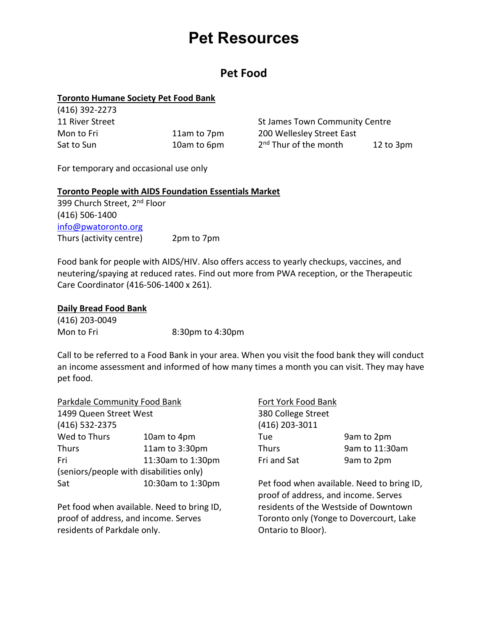# **Pet Resources**

### **Pet Food**

#### **Toronto Humane Society Pet Food Bank**  $(116)$  202272

| 14101392-2273   |             |                                   |                |
|-----------------|-------------|-----------------------------------|----------------|
| 11 River Street |             | St James Town Community Centre    |                |
| Mon to Fri      | 11am to 7pm | 200 Wellesley Street East         |                |
| Sat to Sun      | 10am to 6pm | 2 <sup>nd</sup> Thur of the month | $12$ to $3$ pm |

For temporary and occasional use only

#### **Toronto People with AIDS Foundation Essentials Market**

399 Church Street, 2<sup>nd</sup> Floor (416) 506-1400 [info@pwatoronto.org](mailto:info@pwatoronto.org) Thurs (activity centre) 2pm to 7pm

Food bank for people with AIDS/HIV. Also offers access to yearly checkups, vaccines, and neutering/spaying at reduced rates. Find out more from PWA reception, or the Therapeutic Care Coordinator (416-506-1400 x 261).

#### **Daily Bread Food Bank**

(416) 203-0049 Mon to Fri 8:30pm to 4:30pm

Call to be referred to a Food Bank in your area. When you visit the food bank they will conduct an income assessment and informed of how many times a month you can visit. They may have pet food.

| Parkdale Community Food Bank               |                                         | Fort York Food Bank |                                                                                    |  |
|--------------------------------------------|-----------------------------------------|---------------------|------------------------------------------------------------------------------------|--|
| 1499 Queen Street West                     |                                         | 380 College Street  |                                                                                    |  |
| (416) 532-2375                             |                                         | (416) 203-3011      |                                                                                    |  |
| Wed to Thurs                               | 10am to 4pm                             | Tue                 | 9am to 2pm                                                                         |  |
| <b>Thurs</b>                               | 11am to 3:30pm                          | <b>Thurs</b>        | 9am to 11:30am                                                                     |  |
| Fri                                        | 11:30am to 1:30pm                       | Fri and Sat         | 9am to 2pm                                                                         |  |
|                                            | (seniors/people with disabilities only) |                     |                                                                                    |  |
| Sat                                        | 10:30am to 1:30pm                       |                     | Pet food when available. Need to bring ID,<br>proof of address, and income. Serves |  |
| Pet food when available. Need to bring ID, |                                         |                     | residents of the Westside of Downtown                                              |  |

proof of address, and income. Serves residents of Parkdale only.

Toronto only (Yonge to Dovercourt, Lake Ontario to Bloor).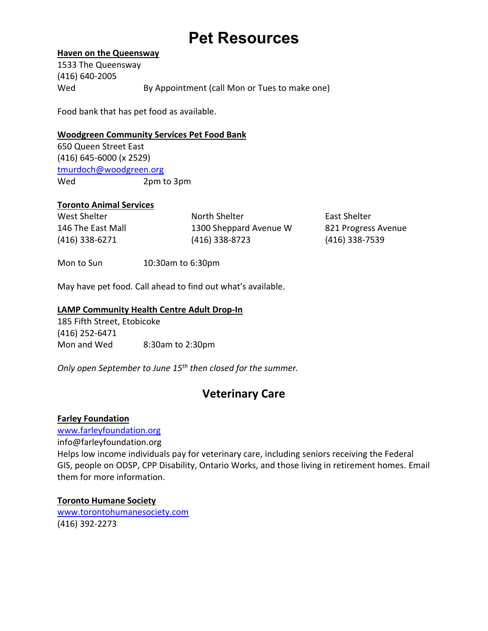# **Pet Resources**

#### **Haven on the Queensway**

1533 The Queensway (416) 640-2005 Wed By Appointment (call Mon or Tues to make one)

Food bank that has pet food as available.

#### **Woodgreen Community Services Pet Food Bank**

650 Queen Street East (416) 645-6000 (x 2529) [tmurdoch@woodgreen.org](mailto:tmurdoch@woodgreen.org) Wed 2pm to 3pm

#### **Toronto Animal Services**

| West Shelter      | North Shelter          | East Shelter        |
|-------------------|------------------------|---------------------|
| 146 The East Mall | 1300 Sheppard Avenue W | 821 Progress Avenue |
| (416) 338-6271    | (416) 338-8723         | (416) 338-7539      |

Mon to Sun 10:30am to 6:30pm

May have pet food. Call ahead to find out what's available.

#### **LAMP Community Health Centre Adult Drop-In**

185 Fifth Street, Etobicoke (416) 252-6471 Mon and Wed 8:30am to 2:30pm

*Only open September to June 15th then closed for the summer.*

## **Veterinary Care**

#### **Farley Foundation**

[www.farleyfoundation.org](http://www.farleyfoundation.org/) info@farleyfoundation.org Helps low income individuals pay for veterinary care, including seniors receiving the Federal GIS, people on ODSP, CPP Disability, Ontario Works, and those living in retirement homes. Email them for more information.

**Toronto Humane Society** [www.torontohumanesociety.com](http://www.torontohumanesociety.com/) (416) 392-2273